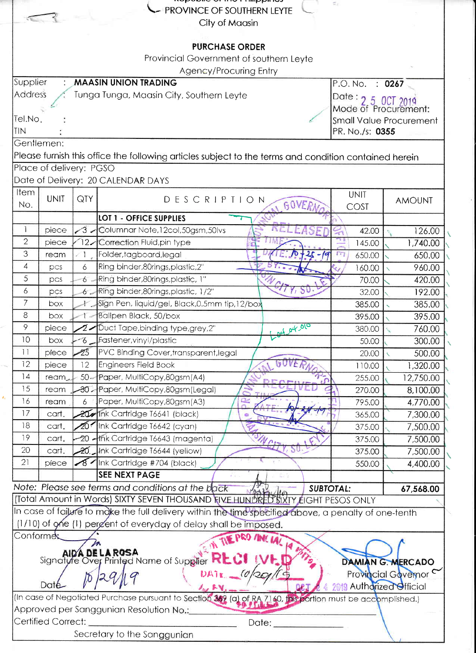|                                                                                                                                    |                         |                                          | <b>Reporting of the Limited Mars</b><br><b>PROVINCE OF SOUTHERN LEYTE</b>                                                                                                |             | đ.                 |                    |  |  |  |  |
|------------------------------------------------------------------------------------------------------------------------------------|-------------------------|------------------------------------------|--------------------------------------------------------------------------------------------------------------------------------------------------------------------------|-------------|--------------------|--------------------|--|--|--|--|
| City of Maasin                                                                                                                     |                         |                                          |                                                                                                                                                                          |             |                    |                    |  |  |  |  |
|                                                                                                                                    |                         |                                          |                                                                                                                                                                          |             |                    |                    |  |  |  |  |
| <b>PURCHASE ORDER</b>                                                                                                              |                         |                                          |                                                                                                                                                                          |             |                    |                    |  |  |  |  |
| Provincial Government of southern Leyte                                                                                            |                         |                                          |                                                                                                                                                                          |             |                    |                    |  |  |  |  |
| Agency/Procuring Entry                                                                                                             |                         |                                          |                                                                                                                                                                          |             |                    |                    |  |  |  |  |
| Supplier                                                                                                                           |                         |                                          | <b>MAASIN UNION TRADING</b>                                                                                                                                              |             | P.O. No. : 0267    |                    |  |  |  |  |
| <b>Address</b>                                                                                                                     |                         | Tunga Tunga, Maasin City, Southern Leyte | Date: 2 5 0CT 2019                                                                                                                                                       |             |                    |                    |  |  |  |  |
|                                                                                                                                    |                         |                                          | Mode of Procurement:                                                                                                                                                     |             |                    |                    |  |  |  |  |
| Tel.No.                                                                                                                            |                         | <b>Small Value Procurement</b>           |                                                                                                                                                                          |             |                    |                    |  |  |  |  |
| TIN                                                                                                                                |                         |                                          | PR. No./s: 0355                                                                                                                                                          |             |                    |                    |  |  |  |  |
|                                                                                                                                    | Gentlemen:              |                                          |                                                                                                                                                                          |             |                    |                    |  |  |  |  |
|                                                                                                                                    |                         |                                          | Please furnish this office the following articles subject to the terms and condition contained herein                                                                    |             |                    |                    |  |  |  |  |
|                                                                                                                                    | Place of delivery: PGSO |                                          |                                                                                                                                                                          |             |                    |                    |  |  |  |  |
| <b>Item</b>                                                                                                                        |                         |                                          | Date of Delivery: 20 CALENDAR DAYS                                                                                                                                       |             |                    |                    |  |  |  |  |
| No.                                                                                                                                | <b>UNIT</b>             | QTY                                      | DESCRIPTION<br>GOVERN                                                                                                                                                    |             | <b>UNIT</b>        | <b>AMOUNT</b>      |  |  |  |  |
|                                                                                                                                    |                         |                                          |                                                                                                                                                                          |             | COST               |                    |  |  |  |  |
| 1                                                                                                                                  | piece                   | ′3 -                                     | LOT 1 - OFFICE SUPPLIES<br>Columnar Note, 12col, 50gsm, 50lvs                                                                                                            |             |                    |                    |  |  |  |  |
| $\mathbf{2}$                                                                                                                       | piece                   | $12-$                                    | Correction Fluid, pin type                                                                                                                                               |             | 42.00<br>145.00    | 126.00<br>1,740.00 |  |  |  |  |
| 3                                                                                                                                  | ream                    | 1                                        | Folder, tagboard, legal                                                                                                                                                  | $-25 - 19$  | $\Gamma$<br>650.00 | 650.00             |  |  |  |  |
| 4                                                                                                                                  | pcs                     | 6                                        | Ring binder,80rings,plastic,2"                                                                                                                                           |             | 160.00             | 960.00             |  |  |  |  |
| 5                                                                                                                                  | pcs                     | $6 -$                                    | Ring binder,80rings,plastic, 1"                                                                                                                                          |             | 70.00              | 420.00             |  |  |  |  |
| 6                                                                                                                                  | pcs                     | 6.                                       | Ring binder, 80rings, plastic, 1/2"                                                                                                                                      | 11,50       | 32.00              | 192.00             |  |  |  |  |
| $\overline{7}$                                                                                                                     | box                     |                                          | Sign Pen, liquid/gel, Black, 0.5mm fip, 12/box                                                                                                                           |             | 385.00             | 385.00             |  |  |  |  |
| 8                                                                                                                                  | box                     |                                          | Ballpen Black, 50/box                                                                                                                                                    |             | 395.00             | 395.00             |  |  |  |  |
| 9                                                                                                                                  | piece                   |                                          | Duct Tape, binding type, grey, 2"                                                                                                                                        | tool of 010 | 380.00             | 760.00             |  |  |  |  |
| 10                                                                                                                                 | box                     | $\delta$ .                               | Fastener, vinyl/plastic                                                                                                                                                  |             | 50.00              | 300.00             |  |  |  |  |
| L                                                                                                                                  | piece                   | - 25                                     | PVC Binding Cover, transparent, legal                                                                                                                                    |             | 20.00              | 500.00             |  |  |  |  |
| 12                                                                                                                                 | piece                   | 12                                       | Engineers Field Book                                                                                                                                                     |             | 110.00             | 1,320.00           |  |  |  |  |
| 4                                                                                                                                  | ream <sub>er</sub>      | $50 -$                                   | Paper, MultiCopy,80gsm(A4)                                                                                                                                               |             | 255.00             | 12,750.00          |  |  |  |  |
| 15                                                                                                                                 | ream                    | -ಕಿ0ಾ                                    | Paper, MultiCopy,80gsm(Legal)                                                                                                                                            |             | 270.00             | 8,100.00           |  |  |  |  |
| 16                                                                                                                                 | ream                    | 6                                        | Paper, MultiCopy,80gsm(A3)                                                                                                                                               |             | 795.00             | 4,770.00           |  |  |  |  |
| 17                                                                                                                                 | cart.                   |                                          | 20 Ink Cartridge T6641 (black)                                                                                                                                           |             | 365.00             | 7,300.00           |  |  |  |  |
| 18                                                                                                                                 | cart.                   | ንጉ ፡                                     | Ink Cartridge 16642 (cyan)                                                                                                                                               |             | 375.00             | 7,500.00           |  |  |  |  |
| 19                                                                                                                                 | cart.                   |                                          | 20 - Ink Cartridge T6643 (magenta)                                                                                                                                       |             | 375.00             | 7,500.00           |  |  |  |  |
| 20                                                                                                                                 | cart.                   | 20.                                      | Ink Cartridge T6644 (yellow)                                                                                                                                             |             | 375.00             | 7,500.00           |  |  |  |  |
| 21                                                                                                                                 | piece                   | $\mathcal{E}$                            | Ink Cartridge #704 (black)                                                                                                                                               |             | 550.00             | 4,400.00           |  |  |  |  |
|                                                                                                                                    |                         |                                          | <b>SEE NEXT PAGE</b>                                                                                                                                                     |             |                    |                    |  |  |  |  |
|                                                                                                                                    |                         |                                          | Note: Please see terms and conditions at the back                                                                                                                        | 人口          | <b>SUBTOTAL:</b>   | 67,568.00          |  |  |  |  |
|                                                                                                                                    |                         |                                          | Note. Prease see ferrifs and conditions at the pack the strategy of <b>SUBIOTAL:</b><br>(Total Amount in Words) SIXTY SEVEN THOUSAND FIVE HUNDRED SIXTY EIGHT PESOS ONLY |             |                    |                    |  |  |  |  |
|                                                                                                                                    |                         |                                          | In case of failure to make the full delivery within the time specified above, a penalty of one-tenth                                                                     |             |                    |                    |  |  |  |  |
|                                                                                                                                    |                         |                                          | (1/10) of one (1) percent of everyday of delay shall be imposed.                                                                                                         |             |                    |                    |  |  |  |  |
| Conformes                                                                                                                          |                         |                                          | <b>THE PRO MAC LAT</b>                                                                                                                                                   |             |                    |                    |  |  |  |  |
|                                                                                                                                    |                         |                                          | AIDA DE LA ROSA                                                                                                                                                          |             |                    |                    |  |  |  |  |
|                                                                                                                                    |                         |                                          | Signafyre Over Printed Name of Supplier                                                                                                                                  |             |                    | DAMIAN G. MERCADO  |  |  |  |  |
| Provincial Governor C<br>Date                                                                                                      |                         |                                          |                                                                                                                                                                          |             |                    |                    |  |  |  |  |
| Authorized Official<br>(In case of Negotiated Purchase pursuant to Section 369 (a) of RA 7160, this portion must be accomplished.) |                         |                                          |                                                                                                                                                                          |             |                    |                    |  |  |  |  |
| Approved per Sanggunian Resolution No.:                                                                                            |                         |                                          |                                                                                                                                                                          |             |                    |                    |  |  |  |  |
|                                                                                                                                    | Certified Correct:      |                                          |                                                                                                                                                                          | Date:       |                    |                    |  |  |  |  |
| Secretary to the Sanggunian                                                                                                        |                         |                                          |                                                                                                                                                                          |             |                    |                    |  |  |  |  |
|                                                                                                                                    |                         |                                          |                                                                                                                                                                          |             |                    |                    |  |  |  |  |